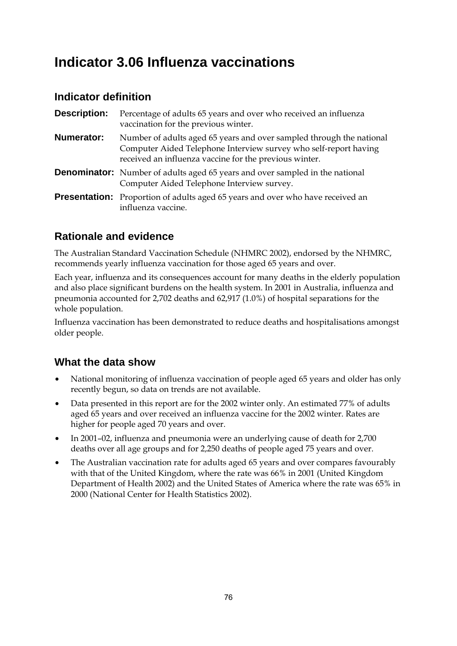# **Indicator 3.06 Influenza vaccinations**

## **Indicator definition**

| <b>Description:</b> | Percentage of adults 65 years and over who received an influenza<br>vaccination for the previous winter.                                                                                           |
|---------------------|----------------------------------------------------------------------------------------------------------------------------------------------------------------------------------------------------|
| <b>Numerator:</b>   | Number of adults aged 65 years and over sampled through the national<br>Computer Aided Telephone Interview survey who self-report having<br>received an influenza vaccine for the previous winter. |
|                     | <b>Denominator:</b> Number of adults aged 65 years and over sampled in the national<br>Computer Aided Telephone Interview survey.                                                                  |
|                     | <b>Presentation:</b> Proportion of adults aged 65 years and over who have received an<br>influenza vaccine.                                                                                        |

## **Rationale and evidence**

The Australian Standard Vaccination Schedule (NHMRC 2002), endorsed by the NHMRC, recommends yearly influenza vaccination for those aged 65 years and over.

Each year, influenza and its consequences account for many deaths in the elderly population and also place significant burdens on the health system. In 2001 in Australia, influenza and pneumonia accounted for 2,702 deaths and 62,917 (1.0%) of hospital separations for the whole population.

Influenza vaccination has been demonstrated to reduce deaths and hospitalisations amongst older people.

- National monitoring of influenza vaccination of people aged 65 years and older has only recently begun, so data on trends are not available.
- Data presented in this report are for the 2002 winter only. An estimated 77% of adults aged 65 years and over received an influenza vaccine for the 2002 winter. Rates are higher for people aged 70 years and over.
- In 2001–02, influenza and pneumonia were an underlying cause of death for 2,700 deaths over all age groups and for 2,250 deaths of people aged 75 years and over.
- The Australian vaccination rate for adults aged 65 years and over compares favourably with that of the United Kingdom, where the rate was 66% in 2001 (United Kingdom Department of Health 2002) and the United States of America where the rate was 65% in 2000 (National Center for Health Statistics 2002).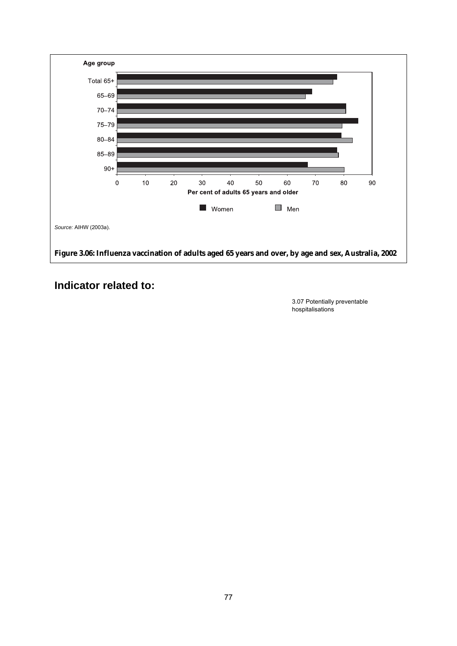

 3.07 Potentially preventable hospitalisations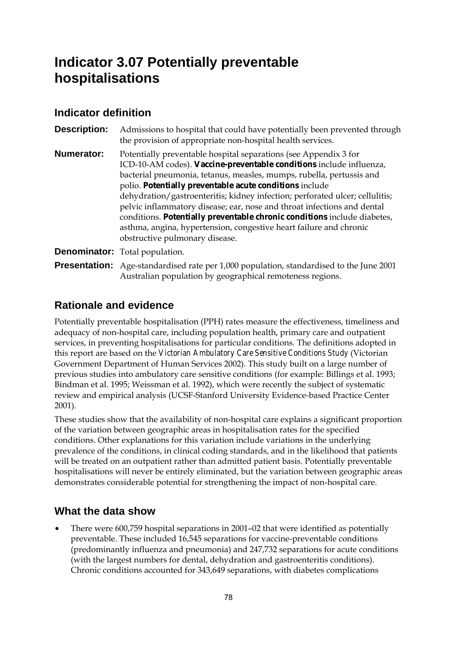# **Indicator 3.07 Potentially preventable hospitalisations**

#### **Indicator definition**

**Description:** Admissions to hospital that could have potentially been prevented through the provision of appropriate non-hospital health services. **Numerator:** Potentially preventable hospital separations (see Appendix 3 for ICD-10-AM codes). **Vaccine-preventable conditions** include influenza, bacterial pneumonia, tetanus, measles, mumps, rubella, pertussis and polio. **Potentially preventable acute conditions** include dehydration/gastroenteritis; kidney infection; perforated ulcer; cellulitis; pelvic inflammatory disease; ear, nose and throat infections and dental conditions. **Potentially preventable chronic conditions** include diabetes, asthma, angina, hypertension, congestive heart failure and chronic obstructive pulmonary disease. **Denominator:** Total population.

**Presentation:** Age-standardised rate per 1,000 population, standardised to the June 2001 Australian population by geographical remoteness regions.

## **Rationale and evidence**

Potentially preventable hospitalisation (PPH) rates measure the effectiveness, timeliness and adequacy of non-hospital care, including population health, primary care and outpatient services, in preventing hospitalisations for particular conditions. The definitions adopted in this report are based on the *Victorian Ambulatory Care Sensitive Conditions Study* (Victorian Government Department of Human Services 2002). This study built on a large number of previous studies into ambulatory care sensitive conditions (for example: Billings et al. 1993; Bindman et al. 1995; Weissman et al. 1992), which were recently the subject of systematic review and empirical analysis (UCSF-Stanford University Evidence-based Practice Center 2001).

These studies show that the availability of non-hospital care explains a significant proportion of the variation between geographic areas in hospitalisation rates for the specified conditions. Other explanations for this variation include variations in the underlying prevalence of the conditions, in clinical coding standards, and in the likelihood that patients will be treated on an outpatient rather than admitted patient basis. Potentially preventable hospitalisations will never be entirely eliminated, but the variation between geographic areas demonstrates considerable potential for strengthening the impact of non-hospital care.

## **What the data show**

• There were 600,759 hospital separations in 2001–02 that were identified as potentially preventable. These included 16,545 separations for vaccine-preventable conditions (predominantly influenza and pneumonia) and 247,732 separations for acute conditions (with the largest numbers for dental, dehydration and gastroenteritis conditions). Chronic conditions accounted for 343,649 separations, with diabetes complications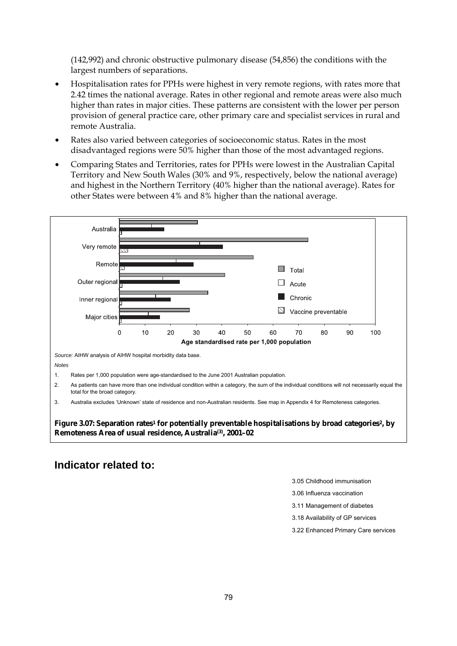(142,992) and chronic obstructive pulmonary disease (54,856) the conditions with the largest numbers of separations.

- Hospitalisation rates for PPHs were highest in very remote regions, with rates more that 2.42 times the national average. Rates in other regional and remote areas were also much higher than rates in major cities. These patterns are consistent with the lower per person provision of general practice care, other primary care and specialist services in rural and remote Australia.
- Rates also varied between categories of socioeconomic status. Rates in the most disadvantaged regions were 50% higher than those of the most advantaged regions.
- Comparing States and Territories, rates for PPHs were lowest in the Australian Capital Territory and New South Wales (30% and 9%, respectively, below the national average) and highest in the Northern Territory (40% higher than the national average). Rates for other States were between 4% and 8% higher than the national average.



Figure 3.07: Separation rates<sup>1</sup> for potentially preventable hospitalisations by broad categories<sup>2</sup>, by **Remoteness Area of usual residence, Australia(3), 2001–02** 

#### **Indicator related to:**

3.05 Childhood immunisation

3.06 Influenza vaccination

3.11 Management of diabetes

3.18 Availability of GP services

3.22 Enhanced Primary Care services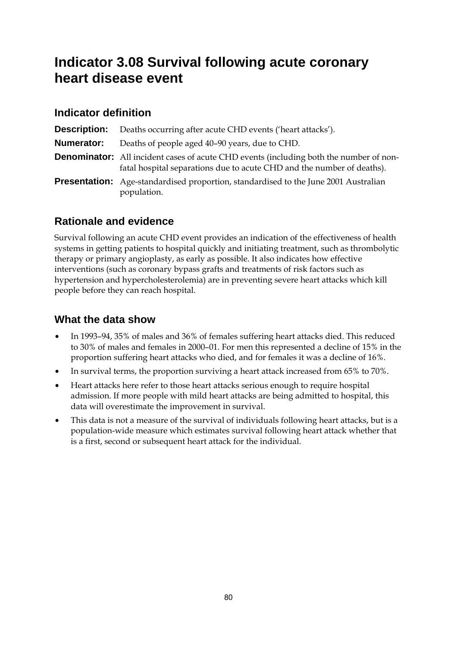# **Indicator 3.08 Survival following acute coronary heart disease event**

#### **Indicator definition**

|                   | <b>Description:</b> Deaths occurring after acute CHD events ('heart attacks').                                                                                          |
|-------------------|-------------------------------------------------------------------------------------------------------------------------------------------------------------------------|
| <b>Numerator:</b> | Deaths of people aged 40–90 years, due to CHD.                                                                                                                          |
|                   | <b>Denominator:</b> All incident cases of acute CHD events (including both the number of non-<br>fatal hospital separations due to acute CHD and the number of deaths). |
|                   | <b>Presentation:</b> Age-standardised proportion, standardised to the June 2001 Australian<br>population.                                                               |

## **Rationale and evidence**

Survival following an acute CHD event provides an indication of the effectiveness of health systems in getting patients to hospital quickly and initiating treatment, such as thrombolytic therapy or primary angioplasty, as early as possible. It also indicates how effective interventions (such as coronary bypass grafts and treatments of risk factors such as hypertension and hypercholesterolemia) are in preventing severe heart attacks which kill people before they can reach hospital.

- In 1993–94, 35% of males and 36% of females suffering heart attacks died. This reduced to 30% of males and females in 2000–01. For men this represented a decline of 15% in the proportion suffering heart attacks who died, and for females it was a decline of 16%.
- In survival terms, the proportion surviving a heart attack increased from 65% to 70%.
- Heart attacks here refer to those heart attacks serious enough to require hospital admission. If more people with mild heart attacks are being admitted to hospital, this data will overestimate the improvement in survival.
- This data is not a measure of the survival of individuals following heart attacks, but is a population-wide measure which estimates survival following heart attack whether that is a first, second or subsequent heart attack for the individual.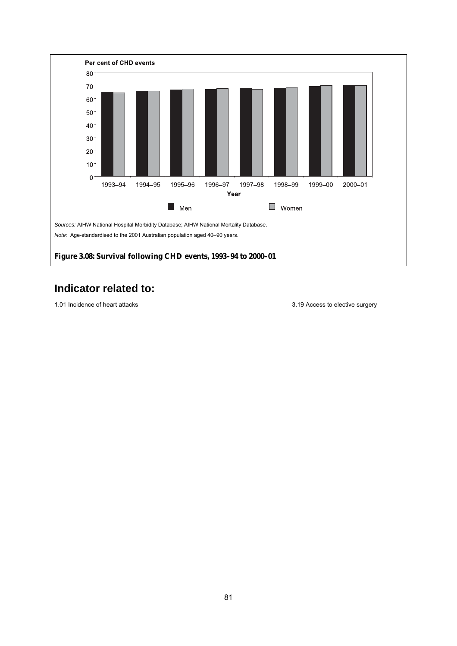

1.01 Incidence of heart attacks 3.19 Access to elective surgery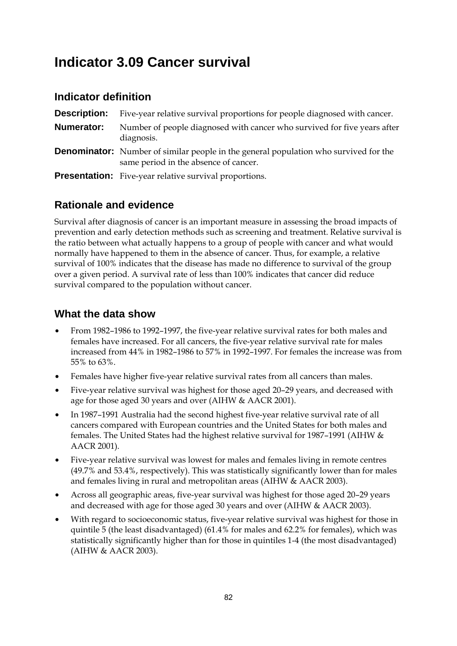## **Indicator 3.09 Cancer survival**

#### **Indicator definition**

| Description: | Five-year relative survival proportions for people diagnosed with cancer.                                                            |
|--------------|--------------------------------------------------------------------------------------------------------------------------------------|
| Numerator:   | Number of people diagnosed with cancer who survived for five years after<br>diagnosis.                                               |
|              | <b>Denominator:</b> Number of similar people in the general population who survived for the<br>same period in the absence of cancer. |
|              | <b>Presentation:</b> Five-year relative survival proportions.                                                                        |

#### **Rationale and evidence**

Survival after diagnosis of cancer is an important measure in assessing the broad impacts of prevention and early detection methods such as screening and treatment. Relative survival is the ratio between what actually happens to a group of people with cancer and what would normally have happened to them in the absence of cancer. Thus, for example, a relative survival of 100% indicates that the disease has made no difference to survival of the group over a given period. A survival rate of less than 100% indicates that cancer did reduce survival compared to the population without cancer.

- From 1982–1986 to 1992–1997, the five-year relative survival rates for both males and females have increased. For all cancers, the five-year relative survival rate for males increased from 44% in 1982–1986 to 57% in 1992–1997. For females the increase was from 55% to 63%.
- Females have higher five-year relative survival rates from all cancers than males.
- Five-year relative survival was highest for those aged 20–29 years, and decreased with age for those aged 30 years and over (AIHW & AACR 2001).
- In 1987–1991 Australia had the second highest five-year relative survival rate of all cancers compared with European countries and the United States for both males and females. The United States had the highest relative survival for 1987–1991 (AIHW & AACR 2001).
- Five-year relative survival was lowest for males and females living in remote centres (49.7% and 53.4%, respectively). This was statistically significantly lower than for males and females living in rural and metropolitan areas (AIHW & AACR 2003).
- Across all geographic areas, five-year survival was highest for those aged 20–29 years and decreased with age for those aged 30 years and over (AIHW & AACR 2003).
- With regard to socioeconomic status, five-year relative survival was highest for those in quintile 5 (the least disadvantaged) (61.4% for males and 62.2% for females), which was statistically significantly higher than for those in quintiles 1-4 (the most disadvantaged) (AIHW & AACR 2003).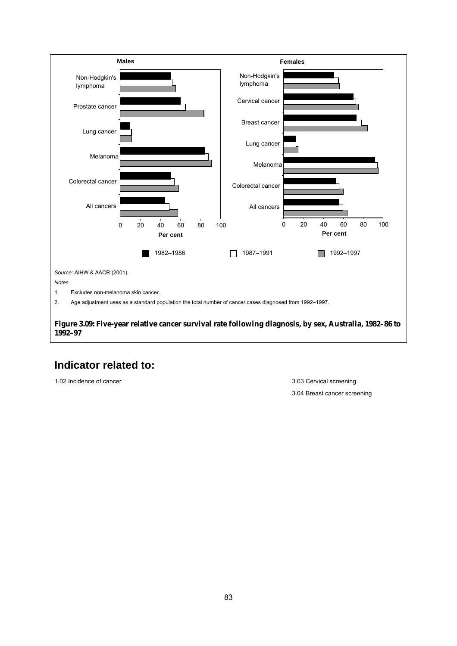

1.02 Incidence of cancer 3.03 Cervical screening

3.04 Breast cancer screening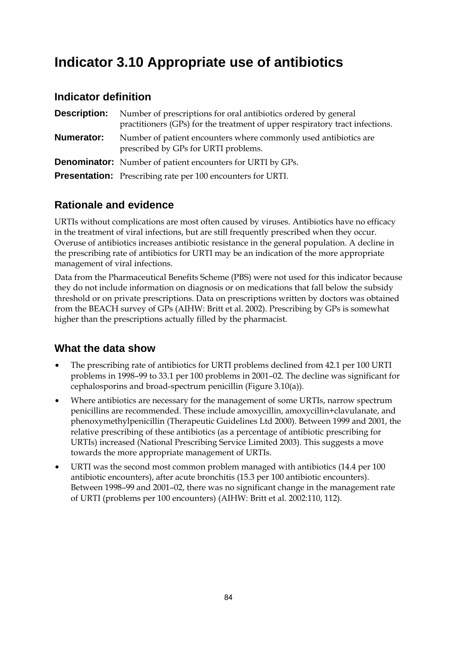# **Indicator 3.10 Appropriate use of antibiotics**

#### **Indicator definition**

| <b>Description:</b> | Number of prescriptions for oral antibiotics ordered by general<br>practitioners (GPs) for the treatment of upper respiratory tract infections. |
|---------------------|-------------------------------------------------------------------------------------------------------------------------------------------------|
| Numerator:          | Number of patient encounters where commonly used antibiotics are<br>prescribed by GPs for URTI problems.                                        |
|                     | <b>Denominator:</b> Number of patient encounters for URTI by GPs.                                                                               |
|                     | <b>Presentation:</b> Prescribing rate per 100 encounters for URTI.                                                                              |

## **Rationale and evidence**

URTIs without complications are most often caused by viruses. Antibiotics have no efficacy in the treatment of viral infections, but are still frequently prescribed when they occur. Overuse of antibiotics increases antibiotic resistance in the general population. A decline in the prescribing rate of antibiotics for URTI may be an indication of the more appropriate management of viral infections.

Data from the Pharmaceutical Benefits Scheme (PBS) were not used for this indicator because they do not include information on diagnosis or on medications that fall below the subsidy threshold or on private prescriptions. Data on prescriptions written by doctors was obtained from the BEACH survey of GPs (AIHW: Britt et al. 2002). Prescribing by GPs is somewhat higher than the prescriptions actually filled by the pharmacist.

- The prescribing rate of antibiotics for URTI problems declined from 42.1 per 100 URTI problems in 1998–99 to 33.1 per 100 problems in 2001–02. The decline was significant for cephalosporins and broad-spectrum penicillin (Figure 3.10(a)).
- Where antibiotics are necessary for the management of some URTIs, narrow spectrum penicillins are recommended. These include amoxycillin, amoxycillin+clavulanate, and phenoxymethylpenicillin (Therapeutic Guidelines Ltd 2000). Between 1999 and 2001, the relative prescribing of these antibiotics (as a percentage of antibiotic prescribing for URTIs) increased (National Prescribing Service Limited 2003). This suggests a move towards the more appropriate management of URTIs.
- URTI was the second most common problem managed with antibiotics (14.4 per 100 antibiotic encounters), after acute bronchitis (15.3 per 100 antibiotic encounters). Between 1998–99 and 2001–02, there was no significant change in the management rate of URTI (problems per 100 encounters) (AIHW: Britt et al. 2002:110, 112).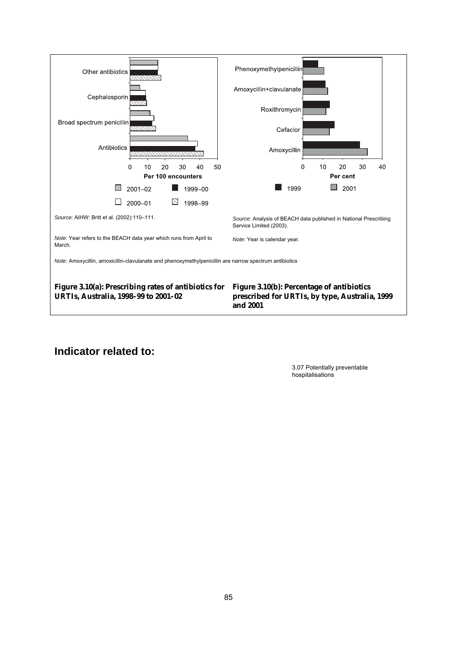

 3.07 Potentially preventable hospitalisations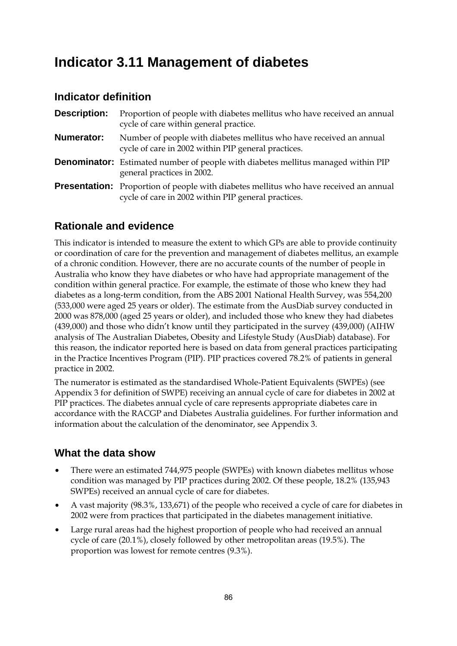## **Indicator 3.11 Management of diabetes**

#### **Indicator definition**

**Description:** Proportion of people with diabetes mellitus who have received an annual cycle of care within general practice. **Numerator:** Number of people with diabetes mellitus who have received an annual cycle of care in 2002 within PIP general practices. **Denominator:** Estimated number of people with diabetes mellitus managed within PIP general practices in 2002. **Presentation:** Proportion of people with diabetes mellitus who have received an annual cycle of care in 2002 within PIP general practices.

## **Rationale and evidence**

This indicator is intended to measure the extent to which GPs are able to provide continuity or coordination of care for the prevention and management of diabetes mellitus, an example of a chronic condition. However, there are no accurate counts of the number of people in Australia who know they have diabetes or who have had appropriate management of the condition within general practice. For example, the estimate of those who knew they had diabetes as a long-term condition, from the ABS 2001 National Health Survey, was 554,200 (533,000 were aged 25 years or older). The estimate from the AusDiab survey conducted in 2000 was 878,000 (aged 25 years or older), and included those who knew they had diabetes (439,000) and those who didn't know until they participated in the survey (439,000) (AIHW analysis of The Australian Diabetes, Obesity and Lifestyle Study (AusDiab) database). For this reason, the indicator reported here is based on data from general practices participating in the Practice Incentives Program (PIP). PIP practices covered 78.2% of patients in general practice in 2002.

The numerator is estimated as the standardised Whole-Patient Equivalents (SWPEs) (see Appendix 3 for definition of SWPE) receiving an annual cycle of care for diabetes in 2002 at PIP practices. The diabetes annual cycle of care represents appropriate diabetes care in accordance with the RACGP and Diabetes Australia guidelines. For further information and information about the calculation of the denominator, see Appendix 3.

- There were an estimated 744,975 people (SWPEs) with known diabetes mellitus whose condition was managed by PIP practices during 2002. Of these people, 18.2% (135,943 SWPEs) received an annual cycle of care for diabetes.
- A vast majority (98.3%, 133,671) of the people who received a cycle of care for diabetes in 2002 were from practices that participated in the diabetes management initiative.
- Large rural areas had the highest proportion of people who had received an annual cycle of care (20.1%), closely followed by other metropolitan areas (19.5%). The proportion was lowest for remote centres (9.3%).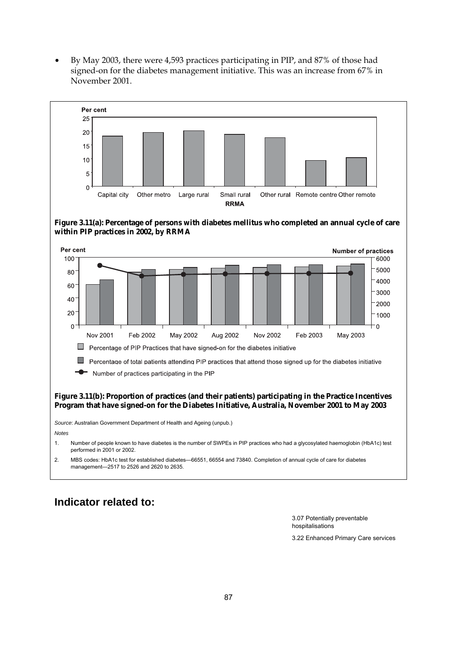• By May 2003, there were 4,593 practices participating in PIP, and 87% of those had signed-on for the diabetes management initiative. This was an increase from 67% in November 2001.



#### **Indicator related to:**

 3.07 Potentially preventable hospitalisations

3.22 Enhanced Primary Care services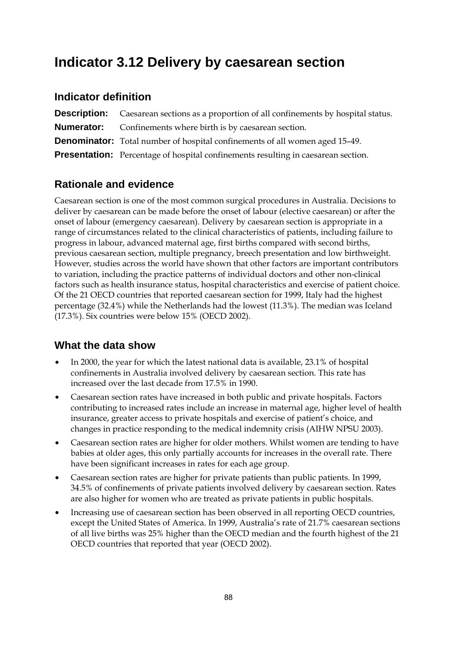## **Indicator 3.12 Delivery by caesarean section**

#### **Indicator definition**

| <b>Description:</b> Caesarean sections as a proportion of all confinements by hospital status. |
|------------------------------------------------------------------------------------------------|
| <b>Numerator:</b> Confinements where birth is by caesarean section.                            |
| <b>Denominator:</b> Total number of hospital confinements of all women aged 15-49.             |
| <b>Presentation:</b> Percentage of hospital confinements resulting in caesarean section.       |

## **Rationale and evidence**

Caesarean section is one of the most common surgical procedures in Australia. Decisions to deliver by caesarean can be made before the onset of labour (elective caesarean) or after the onset of labour (emergency caesarean). Delivery by caesarean section is appropriate in a range of circumstances related to the clinical characteristics of patients, including failure to progress in labour, advanced maternal age, first births compared with second births, previous caesarean section, multiple pregnancy, breech presentation and low birthweight. However, studies across the world have shown that other factors are important contributors to variation, including the practice patterns of individual doctors and other non-clinical factors such as health insurance status, hospital characteristics and exercise of patient choice. Of the 21 OECD countries that reported caesarean section for 1999, Italy had the highest percentage (32.4%) while the Netherlands had the lowest (11.3%). The median was Iceland (17.3%). Six countries were below 15% (OECD 2002).

- In 2000, the year for which the latest national data is available, 23.1% of hospital confinements in Australia involved delivery by caesarean section. This rate has increased over the last decade from 17.5% in 1990.
- Caesarean section rates have increased in both public and private hospitals. Factors contributing to increased rates include an increase in maternal age, higher level of health insurance, greater access to private hospitals and exercise of patient's choice, and changes in practice responding to the medical indemnity crisis (AIHW NPSU 2003).
- Caesarean section rates are higher for older mothers. Whilst women are tending to have babies at older ages, this only partially accounts for increases in the overall rate. There have been significant increases in rates for each age group.
- Caesarean section rates are higher for private patients than public patients. In 1999, 34.5% of confinements of private patients involved delivery by caesarean section. Rates are also higher for women who are treated as private patients in public hospitals.
- Increasing use of caesarean section has been observed in all reporting OECD countries, except the United States of America. In 1999, Australia's rate of 21.7% caesarean sections of all live births was 25% higher than the OECD median and the fourth highest of the 21 OECD countries that reported that year (OECD 2002).